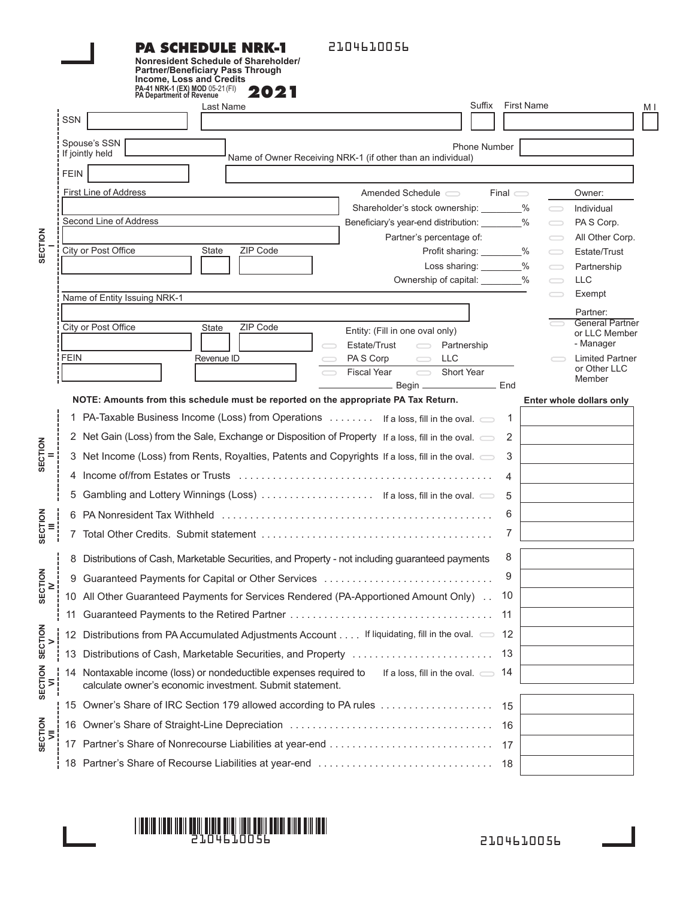#### **PA SCHEDULE NRK-1 Nonresident Schedule of Shareholder/ Partner/Beneficiary Pass Through**

2104610056

|                                      |                            | <b>Income, Loss and Credits</b><br>PA-41 NRK-1 (EX) MOD 05-21 (FI)<br>PA Department of Revenue<br>2021                                                                                                                                                                                                                                                                                                                                                                                                                                                                                                                                                                              |                   |                   |                                                                                                                    |                                                                                                                                                                                                                                     |     |
|--------------------------------------|----------------------------|-------------------------------------------------------------------------------------------------------------------------------------------------------------------------------------------------------------------------------------------------------------------------------------------------------------------------------------------------------------------------------------------------------------------------------------------------------------------------------------------------------------------------------------------------------------------------------------------------------------------------------------------------------------------------------------|-------------------|-------------------|--------------------------------------------------------------------------------------------------------------------|-------------------------------------------------------------------------------------------------------------------------------------------------------------------------------------------------------------------------------------|-----|
|                                      | <b>SSN</b>                 | Suffix<br>Last Name                                                                                                                                                                                                                                                                                                                                                                                                                                                                                                                                                                                                                                                                 |                   | <b>First Name</b> |                                                                                                                    |                                                                                                                                                                                                                                     | M I |
| SECTION                              |                            | Spouse's SSN<br>Phone Number<br>If jointly held<br>Name of Owner Receiving NRK-1 (if other than an individual)                                                                                                                                                                                                                                                                                                                                                                                                                                                                                                                                                                      |                   |                   |                                                                                                                    |                                                                                                                                                                                                                                     |     |
|                                      | <b>FEIN</b><br><b>FEIN</b> | First Line of Address<br>Amended Schedule $\qquad \qquad$<br>Second Line of Address<br>Beneficiary's year-end distribution: ________%<br>Partner's percentage of:<br>City or Post Office<br>ZIP Code<br>Profit sharing: ________%<br>State<br>Loss sharing: ________%<br>Ownership of capital: ________%<br>Name of Entity Issuing NRK-1<br>City or Post Office<br>ZIP Code<br>State<br>Entity: (Fill in one oval only)<br>Estate/Trust<br>$\qquad \qquad \qquad \qquad \Box$<br>Partnership<br>Revenue ID<br><b>LLC</b><br>PA S Corp<br>$\qquad \qquad \qquad \qquad \Box$<br>$\overline{\phantom{0}}$<br>Short Year<br><b>Fiscal Year</b><br>Begin __________________________ End | $Final \subseteq$ |                   | $\qquad \qquad$<br>$\bigcirc$<br>$\bigcirc$<br>$\bigcirc$<br>$\qquad \qquad$<br>$\qquad \qquad$<br>$\qquad \qquad$ | Owner:<br>Individual<br>PAS Corp.<br>All Other Corp.<br>Estate/Trust<br>Partnership<br><b>LLC</b><br>Exempt<br>Partner:<br><b>General Partner</b><br>or LLC Member<br>- Manager<br><b>Limited Partner</b><br>or Other LLC<br>Member |     |
| SECTION                              |                            | NOTE: Amounts from this schedule must be reported on the appropriate PA Tax Return.<br>1 PA-Taxable Business Income (Loss) from Operations  If a loss, fill in the oval. $\implies$ 1<br>2 Net Gain (Loss) from the Sale, Exchange or Disposition of Property If a loss, fill in the oval.<br>3 Net Income (Loss) from Rents, Royalties, Patents and Copyrights If a loss, fill in the oval.<br>Gambling and Lottery Winnings (Loss)  If a loss, fill in the oval.                                                                                                                                                                                                                  | 2<br>3<br>4<br>5  |                   |                                                                                                                    | Enter whole dollars only                                                                                                                                                                                                            |     |
| <b>SECTION</b>                       | 7                          |                                                                                                                                                                                                                                                                                                                                                                                                                                                                                                                                                                                                                                                                                     | 6<br>7            |                   |                                                                                                                    |                                                                                                                                                                                                                                     |     |
| SECTION                              | 11                         | Distributions of Cash, Marketable Securities, and Property - not including guaranteed payments<br>10 All Other Guaranteed Payments for Services Rendered (PA-Apportioned Amount Only) 10                                                                                                                                                                                                                                                                                                                                                                                                                                                                                            | 8<br>9<br>-11     |                   |                                                                                                                    |                                                                                                                                                                                                                                     |     |
| <b>SECTION</b><br>><br>SECTION<br>Σļ | 12                         | Distributions from PA Accumulated Adjustments Account If liquidating, fill in the oval. $\implies$ 12                                                                                                                                                                                                                                                                                                                                                                                                                                                                                                                                                                               |                   |                   |                                                                                                                    |                                                                                                                                                                                                                                     |     |
|                                      | 13                         | Distributions of Cash, Marketable Securities, and Property<br>14 Nontaxable income (loss) or nondeductible expenses required to<br>If a loss, fill in the oval. $\implies$ 14<br>calculate owner's economic investment. Submit statement.                                                                                                                                                                                                                                                                                                                                                                                                                                           | -13               |                   |                                                                                                                    |                                                                                                                                                                                                                                     |     |
| SECTION<br>VII                       |                            |                                                                                                                                                                                                                                                                                                                                                                                                                                                                                                                                                                                                                                                                                     | 15<br>- 16        |                   |                                                                                                                    |                                                                                                                                                                                                                                     |     |
|                                      | 17                         | Partner's Share of Nonrecourse Liabilities at year-end<br>18 Partner's Share of Recourse Liabilities at year-end                                                                                                                                                                                                                                                                                                                                                                                                                                                                                                                                                                    | 17<br>- 18        |                   |                                                                                                                    |                                                                                                                                                                                                                                     |     |

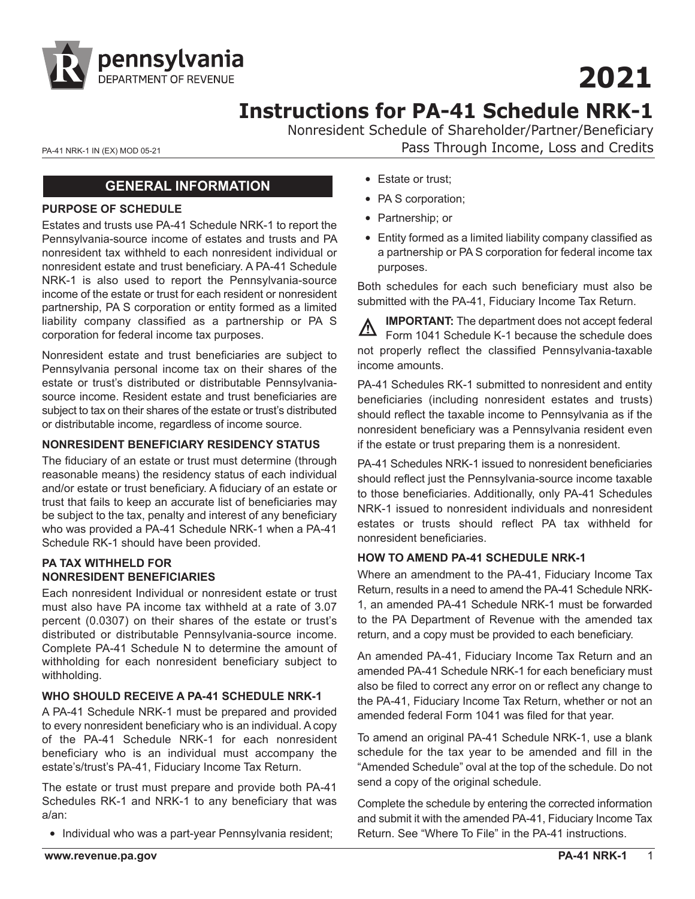

# **2021**

# **Instructions for PA-41 Schedule NRK-1**

Nonresident Schedule of Shareholder/Partner/Beneficiary PA-41 NRK-1 IN (EX) MOD 05-21 **PA-41 NRK-1 IN (EX) MOD 05-21 Pass Through Income, Loss and Credits** 

#### **GENERAL INFORMATION**

#### **PURPOSE OF SCHEDULE**

Estates and trusts use PA-41 Schedule NRK-1 to report the Pennsylvania-source income of estates and trusts and PA nonresident tax withheld to each nonresident individual or nonresident estate and trust beneficiary. A PA-41 Schedule NRK-1 is also used to report the Pennsylvania-source income of the estate or trust for each resident or nonresident partnership, PA S corporation or entity formed as a limited liability company classified as a partnership or PA S corporation for federal income tax purposes.

Nonresident estate and trust beneficiaries are subject to Pennsylvania personal income tax on their shares of the estate or trust's distributed or distributable Pennsylvaniasource income. Resident estate and trust beneficiaries are subject to tax on their shares of the estate or trust's distributed or distributable income, regardless of income source.

#### **NONRESIDENT BENEFICIARY RESIDENCY STATUS**

The fiduciary of an estate or trust must determine (through reasonable means) the residency status of each individual and/or estate or trust beneficiary. A fiduciary of an estate or trust that fails to keep an accurate list of beneficiaries may be subject to the tax, penalty and interest of any beneficiary who was provided a PA-41 Schedule NRK-1 when a PA-41 Schedule RK-1 should have been provided.

#### **PA TAX WITHHELD FOR NONRESIDENT BENEFICIARIES**

Each nonresident Individual or nonresident estate or trust must also have PA income tax withheld at a rate of 3.07 percent (0.0307) on their shares of the estate or trust's distributed or distributable Pennsylvania-source income. Complete PA-41 Schedule N to determine the amount of withholding for each nonresident beneficiary subject to withholding.

#### **WHO SHOULD RECEIVE A PA-41 SCHEDULE NRK-1**

A PA-41 Schedule NRK-1 must be prepared and provided to every nonresident beneficiary who is an individual. A copy of the PA-41 Schedule NRK-1 for each nonresident beneficiary who is an individual must accompany the estate's/trust's PA-41, Fiduciary Income Tax Return.

The estate or trust must prepare and provide both PA-41 Schedules RK-1 and NRK-1 to any beneficiary that was a/an:

• Individual who was a part-year Pennsylvania resident;

- Estate or trust;
- PA S corporation;
- Partnership; or
- Entity formed as a limited liability company classified as a partnership or PA S corporation for federal income tax purposes.

Both schedules for each such beneficiary must also be submitted with the PA-41, Fiduciary Income Tax Return.

**IMPORTANT:** The department does not accept federal Form 1041 Schedule K-1 because the schedule does not properly reflect the classified Pennsylvania-taxable income amounts.

PA-41 Schedules RK-1 submitted to nonresident and entity beneficiaries (including nonresident estates and trusts) should reflect the taxable income to Pennsylvania as if the nonresident beneficiary was a Pennsylvania resident even if the estate or trust preparing them is a nonresident.

PA-41 Schedules NRK-1 issued to nonresident beneficiaries should reflect just the Pennsylvania-source income taxable to those beneficiaries. Additionally, only PA-41 Schedules NRK-1 issued to nonresident individuals and nonresident estates or trusts should reflect PA tax withheld for nonresident beneficiaries.

#### **HOW TO AMEND PA-41 SCHEDULE NRK-1**

Where an amendment to the PA-41, Fiduciary Income Tax Return, results in a need to amend the PA-41 Schedule NRK-1, an amended PA-41 Schedule NRK-1 must be forwarded to the PA Department of Revenue with the amended tax return, and a copy must be provided to each beneficiary.

An amended PA-41, Fiduciary Income Tax Return and an amended PA-41 Schedule NRK-1 for each beneficiary must also be filed to correct any error on or reflect any change to the PA-41, Fiduciary Income Tax Return, whether or not an amended federal Form 1041 was filed for that year.

To amend an original PA-41 Schedule NRK-1, use a blank schedule for the tax year to be amended and fill in the "Amended Schedule" oval at the top of the schedule. Do not send a copy of the original schedule.

Complete the schedule by entering the corrected information and submit it with the amended PA-41, Fiduciary Income Tax Return. See "Where To File" in the PA-41 instructions.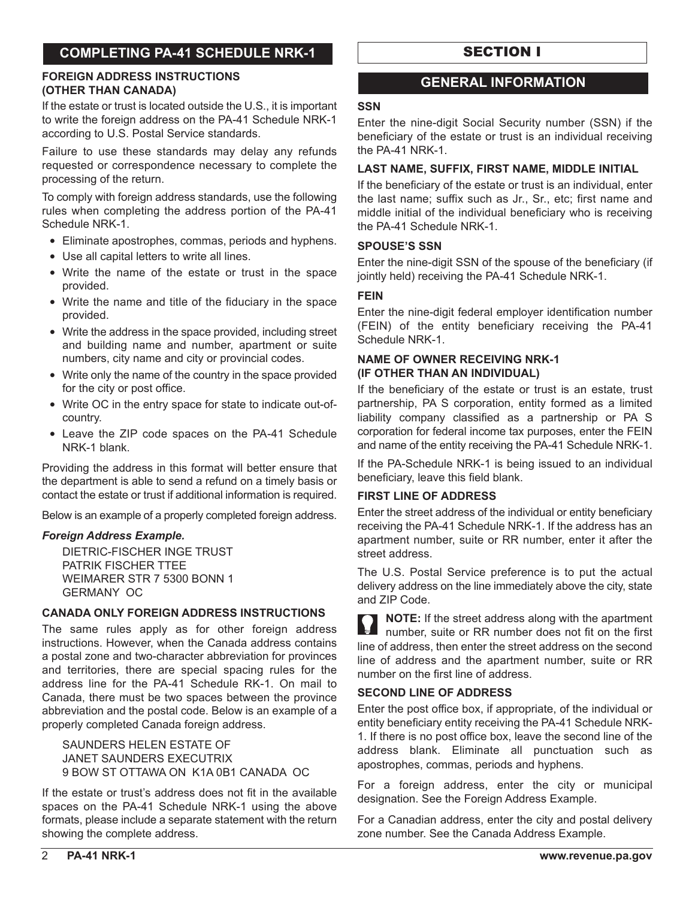# **COMPLETING PA-41 SCHEDULE NRK-1**

#### **FOREIGN ADDRESS INSTRUCTIONS (OTHER THAN CANADA)**

If the estate or trust is located outside the U.S., it is important to write the foreign address on the PA-41 Schedule NRK-1 according to U.S. Postal Service standards.

Failure to use these standards may delay any refunds requested or correspondence necessary to complete the processing of the return.

To comply with foreign address standards, use the following rules when completing the address portion of the PA-41 Schedule NRK-1.

- Eliminate apostrophes, commas, periods and hyphens.
- Use all capital letters to write all lines.
- Write the name of the estate or trust in the space provided.
- Write the name and title of the fiduciary in the space provided.
- Write the address in the space provided, including street and building name and number, apartment or suite numbers, city name and city or provincial codes.
- Write only the name of the country in the space provided for the city or post office.
- Write OC in the entry space for state to indicate out-ofcountry.
- Leave the ZIP code spaces on the PA-41 Schedule NRK-1 blank.

Providing the address in this format will better ensure that the department is able to send a refund on a timely basis or contact the estate or trust if additional information is required.

Below is an example of a properly completed foreign address.

#### *Foreign Address Example.*

 DIETRIC-FISCHER INGE TRUST PATRIK FISCHER TTEE WEIMARER STR 7 5300 BONN 1 GERMANY OC

#### **CANADA ONLY FOREIGN ADDRESS INSTRUCTIONS**

The same rules apply as for other foreign address instructions. However, when the Canada address contains a postal zone and two-character abbreviation for provinces and territories, there are special spacing rules for the address line for the PA-41 Schedule RK-1. On mail to Canada, there must be two spaces between the province abbreviation and the postal code. Below is an example of a properly completed Canada foreign address.

 SAUNDERS HELEN ESTATE OF JANET SAUNDERS EXECUTRIX 9 BOW ST OTTAWA ON K1A 0B1 CANADA OC

If the estate or trust's address does not fit in the available spaces on the PA-41 Schedule NRK-1 using the above formats, please include a separate statement with the return showing the complete address.

# SECTION I

#### **GENERAL INFORMATION**

#### **SSN**

Enter the nine-digit Social Security number (SSN) if the beneficiary of the estate or trust is an individual receiving the PA-41 NRK-1.

#### **LAST NAME, SUFFIX, FIRST NAME, MIDDLE INITIAL**

If the beneficiary of the estate or trust is an individual, enter the last name; suffix such as Jr., Sr., etc; first name and middle initial of the individual beneficiary who is receiving the PA-41 Schedule NRK-1.

#### **SPOUSE'S SSN**

Enter the nine-digit SSN of the spouse of the beneficiary (if jointly held) receiving the PA-41 Schedule NRK-1.

#### **FEIN**

Enter the nine-digit federal employer identification number (FEIN) of the entity beneficiary receiving the PA-41 Schedule NRK-1.

#### **NAME OF OWNER RECEIVING NRK-1 (IF OTHER THAN AN INDIVIDUAL)**

If the beneficiary of the estate or trust is an estate, trust partnership, PA S corporation, entity formed as a limited liability company classified as a partnership or PA S corporation for federal income tax purposes, enter the FEIN and name of the entity receiving the PA-41 Schedule NRK-1.

If the PA-Schedule NRK-1 is being issued to an individual beneficiary, leave this field blank.

#### **FIRST LINE OF ADDRESS**

Enter the street address of the individual or entity beneficiary receiving the PA-41 Schedule NRK-1. If the address has an apartment number, suite or RR number, enter it after the street address.

The U.S. Postal Service preference is to put the actual delivery address on the line immediately above the city, state and ZIP Code.

**NOTE:** If the street address along with the apartment number, suite or RR number does not fit on the first line of address, then enter the street address on the second line of address and the apartment number, suite or RR number on the first line of address.

#### **SECOND LINE OF ADDRESS**

Enter the post office box, if appropriate, of the individual or entity beneficiary entity receiving the PA-41 Schedule NRK-1. If there is no post office box, leave the second line of the address blank. Eliminate all punctuation such as apostrophes, commas, periods and hyphens.

For a foreign address, enter the city or municipal designation. See the Foreign Address Example.

For a Canadian address, enter the city and postal delivery zone number. See the Canada Address Example.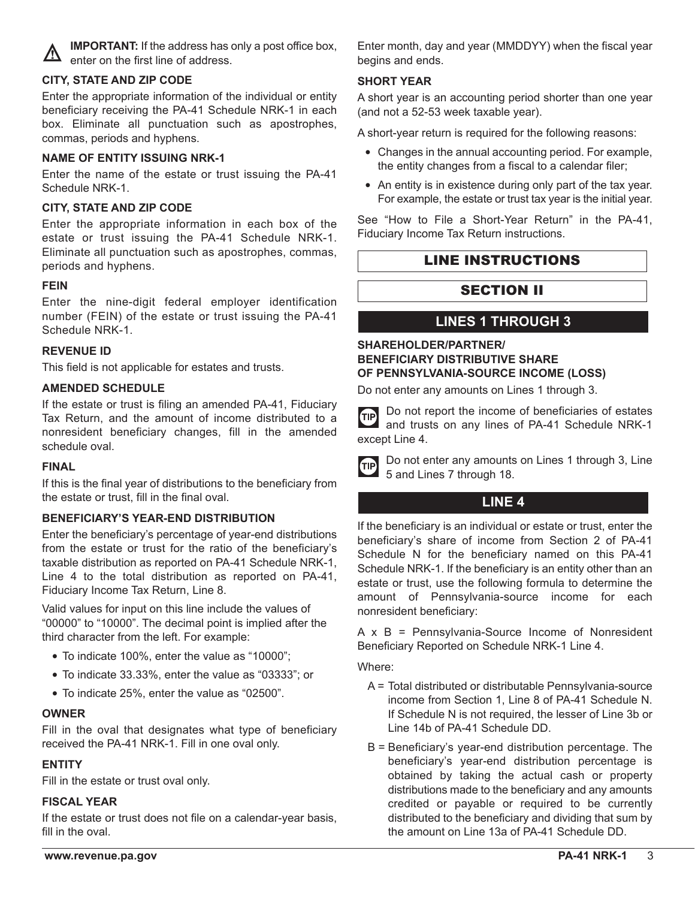

**IMPORTANT:** If the address has only a post office box, enter on the first line of address.

#### **CITY, STATE AND ZIP CODE**

Enter the appropriate information of the individual or entity beneficiary receiving the PA-41 Schedule NRK-1 in each box. Eliminate all punctuation such as apostrophes, commas, periods and hyphens.

#### **NAME OF ENTITY ISSUING NRK-1**

Enter the name of the estate or trust issuing the PA-41 Schedule NRK-1.

#### **CITY, STATE AND ZIP CODE**

Enter the appropriate information in each box of the estate or trust issuing the PA-41 Schedule NRK-1. Eliminate all punctuation such as apostrophes, commas, periods and hyphens.

#### **FEIN**

Enter the nine-digit federal employer identification number (FEIN) of the estate or trust issuing the PA-41 Schedule NRK-1.

#### **REVENUE ID**

This field is not applicable for estates and trusts.

#### **AMENDED SCHEDULE**

If the estate or trust is filing an amended PA-41, Fiduciary Tax Return, and the amount of income distributed to a nonresident beneficiary changes, fill in the amended schedule oval.

#### **FINAL**

If this is the final year of distributions to the beneficiary from the estate or trust, fill in the final oval.

#### **BENEFICIARY'S YEAR-END DISTRIBUTION**

Enter the beneficiary's percentage of year-end distributions from the estate or trust for the ratio of the beneficiary's taxable distribution as reported on PA-41 Schedule NRK-1, Line 4 to the total distribution as reported on PA-41, Fiduciary Income Tax Return, Line 8.

Valid values for input on this line include the values of "00000" to "10000". The decimal point is implied after the third character from the left. For example:

- To indicate 100%, enter the value as "10000";
- To indicate 33.33%, enter the value as "03333"; or
- To indicate 25%, enter the value as "02500".

#### **OWNER**

Fill in the oval that designates what type of beneficiary received the PA-41 NRK-1. Fill in one oval only.

#### **ENTITY**

Fill in the estate or trust oval only.

#### **FISCAL YEAR**

If the estate or trust does not file on a calendar-year basis, fill in the oval.

Enter month, day and year (MMDDYY) when the fiscal year begins and ends.

#### **SHORT YEAR**

A short year is an accounting period shorter than one year (and not a 52-53 week taxable year).

A short-year return is required for the following reasons:

- Changes in the annual accounting period. For example, the entity changes from a fiscal to a calendar filer;
- An entity is in existence during only part of the tax year. For example, the estate or trust tax year is the initial year.

See "How to File a Short-Year Return" in the PA-41, Fiduciary Income Tax Return instructions.

# LINE INSTRUCTIONS

# SECTION II

# **LINES 1 THROUGH 3**

#### **SHAREHOLDER/PARTNER/ BENEFICIARY DISTRIBUTIVE SHARE OF PENNSYLVANIA-SOURCE INCOME (LOSS)**

Do not enter any amounts on Lines 1 through 3.

Do not report the income of beneficiaries of estates **TIP** and trusts on any lines of PA-41 Schedule NRK-1 except Line 4.



Do not enter any amounts on Lines 1 through 3, Line 5 and Lines 7 through 18.

# **LINE 4**

If the beneficiary is an individual or estate or trust, enter the beneficiary's share of income from Section 2 of PA-41 Schedule N for the beneficiary named on this PA-41 Schedule NRK-1. If the beneficiary is an entity other than an estate or trust, use the following formula to determine the amount of Pennsylvania-source income for each nonresident beneficiary:

A x B = Pennsylvania-Source Income of Nonresident Beneficiary Reported on Schedule NRK-1 Line 4.

Where:

- A = Total distributed or distributable Pennsylvania-source income from Section 1, Line 8 of PA-41 Schedule N. If Schedule N is not required, the lesser of Line 3b or Line 14b of PA-41 Schedule DD.
- B = Beneficiary's year-end distribution percentage. The beneficiary's year-end distribution percentage is obtained by taking the actual cash or property distributions made to the beneficiary and any amounts credited or payable or required to be currently distributed to the beneficiary and dividing that sum by the amount on Line 13a of PA-41 Schedule DD.